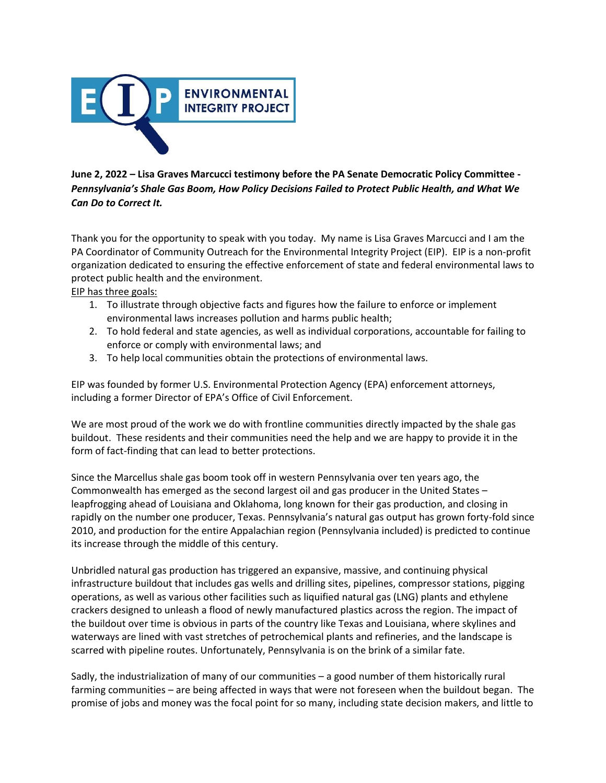

## **June 2, 2022 – Lisa Graves Marcucci testimony before the PA Senate Democratic Policy Committee -** *Pennsylvania's Shale Gas Boom, How Policy Decisions Failed to Protect Public Health, and What We Can Do to Correct It.*

Thank you for the opportunity to speak with you today.  My name is Lisa Graves Marcucci and I am the PA Coordinator of Community Outreach for the Environmental Integrity Project (EIP).  EIP is a non-profit organization dedicated to ensuring the effective enforcement of state and federal environmental laws to protect public health and the environment. 

## EIP has three goals:

- 1. To illustrate through objective facts and figures how the failure to enforce or implement environmental laws increases pollution and harms public health;
- 2. To hold federal and state agencies, as well as individual corporations, accountable for failing to enforce or comply with environmental laws; and
- 3. To help local communities obtain the protections of environmental laws.

EIP was founded by former U.S. Environmental Protection Agency (EPA) enforcement attorneys, including a former Director of EPA's Office of Civil Enforcement.   

We are most proud of the work we do with frontline communities directly impacted by the shale gas buildout.  These residents and their communities need the help and we are happy to provide it in the form of fact-finding that can lead to better protections.

Since the Marcellus shale gas boom took off in western Pennsylvania over ten years ago, the Commonwealth has emerged as the second largest oil and gas producer in the United States – leapfrogging ahead of Louisiana and Oklahoma, long known for their gas production, and closing in rapidly on the number one producer, Texas. Pennsylvania's natural gas output has grown forty-fold since 2010, and production for the entire Appalachian region (Pennsylvania included) is predicted to continue its increase through the middle of this century. 

Unbridled natural gas production has triggered an expansive, massive, and continuing physical infrastructure buildout that includes gas wells and drilling sites, pipelines, compressor stations, pigging operations, as well as various other facilities such as liquified natural gas (LNG) plants and ethylene crackers designed to unleash a flood of newly manufactured plastics across the region. The impact of the buildout over time is obvious in parts of the country like Texas and Louisiana, where skylines and waterways are lined with vast stretches of petrochemical plants and refineries, and the landscape is scarred with pipeline routes. Unfortunately, Pennsylvania is on the brink of a similar fate. 

Sadly, the industrialization of many of our communities – a good number of them historically rural farming communities – are being affected in ways that were not foreseen when the buildout began.  The promise of jobs and money was the focal point for so many, including state decision makers, and little to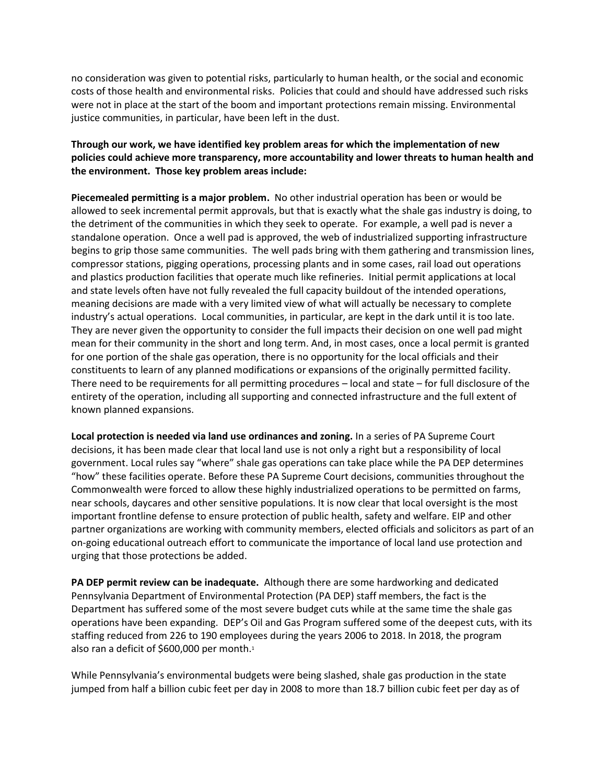no consideration was given to potential risks, particularly to human health, or the social and economic costs of those health and environmental risks.  Policies that could and should have addressed such risks were not in place at the start of the boom and important protections remain missing. Environmental justice communities, in particular, have been left in the dust.

## **Through our work, we have identified key problem areas for which the implementation of new policies could achieve more transparency, more accountability and lower threats to human health and the environment.  Those key problem areas include:**

**Piecemealed permitting is a major problem.**  No other industrial operation has been or would be allowed to seek incremental permit approvals, but that is exactly what the shale gas industry is doing, to the detriment of the communities in which they seek to operate.  For example, a well pad is never a standalone operation.  Once a well pad is approved, the web of industrialized supporting infrastructure begins to grip those same communities.  The well pads bring with them gathering and transmission lines, compressor stations, pigging operations, processing plants and in some cases, rail load out operations and plastics production facilities that operate much like refineries.  Initial permit applications at local and state levels often have not fully revealed the full capacity buildout of the intended operations, meaning decisions are made with a very limited view of what will actually be necessary to complete industry's actual operations.  Local communities, in particular, are kept in the dark until it is too late.  They are never given the opportunity to consider the full impacts their decision on one well pad might mean for their community in the short and long term. And, in most cases, once a local permit is granted for one portion of the shale gas operation, there is no opportunity for the local officials and their constituents to learn of any planned modifications or expansions of the originally permitted facility.  There need to be requirements for all permitting procedures – local and state – for full disclosure of the entirety of the operation, including all supporting and connected infrastructure and the full extent of known planned expansions. 

**Local protection is needed via land use ordinances and zoning.** In a series of PA Supreme Court decisions, it has been made clear that local land use is not only a right but a responsibility of local government. Local rules say "where" shale gas operations can take place while the PA DEP determines "how" these facilities operate. Before these PA Supreme Court decisions, communities throughout the Commonwealth were forced to allow these highly industrialized operations to be permitted on farms, near schools, daycares and other sensitive populations. It is now clear that local oversight is the most important frontline defense to ensure protection of public health, safety and welfare. EIP and other partner organizations are working with community members, elected officials and solicitors as part of an on-going educational outreach effort to communicate the importance of local land use protection and urging that those protections be added.

**PA DEP permit review can be inadequate.** Although there are some hardworking and dedicated Pennsylvania Department of Environmental Protection (PA DEP) staff members, the fact is the Department has suffered some of the most severe budget cuts while at the same time the shale gas operations have been expanding.  DEP's Oil and Gas Program suffered some of the deepest cuts, with its staffing reduced from 226 to 190 employees during the years 2006 to 2018. In 2018, the program also ran a deficit of \$600,000 per month. 1

While Pennsylvania's environmental budgets were being slashed, shale gas production in the state jumped from half a billion cubic feet per day in 2008 to more than 18.7 billion cubic feet per day as of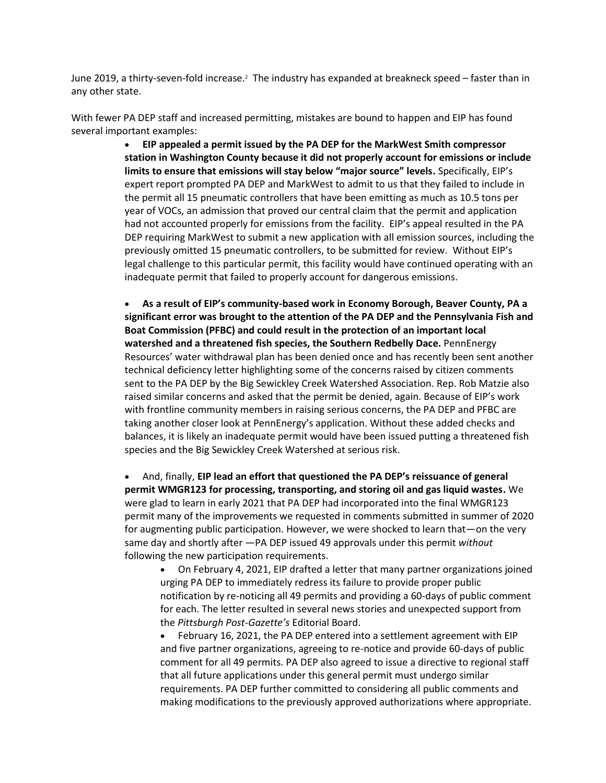June 2019, a thirty-seven-fold increase.<sup>2</sup> The industry has expanded at breakneck speed – faster than in any other state.

With fewer PA DEP staff and increased permitting, mistakes are bound to happen and EIP has found several important examples:

> • **EIP appealed a permit issued by the PA DEP for the MarkWest Smith compressor station in Washington County because it did not properly account for emissions or include limits to ensure that emissions will stay below "major source" levels.** Specifically, EIP's expert report prompted PA DEP and MarkWest to admit to us that they failed to include in the permit all 15 pneumatic controllers that have been emitting as much as 10.5 tons per year of VOCs, an admission that proved our central claim that the permit and application had not accounted properly for emissions from the facility.  EIP's appeal resulted in the PA DEP requiring MarkWest to submit a new application with all emission sources, including the previously omitted 15 pneumatic controllers, to be submitted for review.  Without EIP's legal challenge to this particular permit, this facility would have continued operating with an inadequate permit that failed to properly account for dangerous emissions.

> • **As a result of EIP's community-based work in Economy Borough, Beaver County, PA a significant error was brought to the attention of the PA DEP and the Pennsylvania Fish and Boat Commission (PFBC) and could result in the protection of an important local watershed and a threatened fish species, the Southern Redbelly Dace.** PennEnergy Resources' water withdrawal plan has been denied once and has recently been sent another technical deficiency letter highlighting some of the concerns raised by citizen comments sent to the PA DEP by the Big Sewickley Creek Watershed Association. Rep. Rob Matzie also raised similar concerns and asked that the permit be denied, again. Because of EIP's work with frontline community members in raising serious concerns, the PA DEP and PFBC are taking another closer look at PennEnergy's application. Without these added checks and balances, it is likely an inadequate permit would have been issued putting a threatened fish species and the Big Sewickley Creek Watershed at serious risk.

> • And, finally, **EIP lead an effort that questioned the PA DEP's reissuance of general permit WMGR123 for processing, transporting, and storing oil and gas liquid wastes.** We were glad to learn in early 2021 that PA DEP had incorporated into the final WMGR123 permit many of the improvements we requested in comments submitted in summer of 2020 for augmenting public participation. However, we were shocked to learn that—on the very same day and shortly after —PA DEP issued 49 approvals under this permit *without* following the new participation requirements.

• On February 4, 2021, EIP drafted a letter that many partner organizations joined urging PA DEP to immediately redress its failure to provide proper public notification by re-noticing all 49 permits and providing a 60-days of public comment for each. The letter resulted in several news stories and unexpected support from the *Pittsburgh Post-Gazette's* Editorial Board.

February 16, 2021, the PA DEP entered into a settlement agreement with EIP and five partner organizations, agreeing to re-notice and provide 60-days of public comment for all 49 permits. PA DEP also agreed to issue a directive to regional staff that all future applications under this general permit must undergo similar requirements. PA DEP further committed to considering all public comments and making modifications to the previously approved authorizations where appropriate.